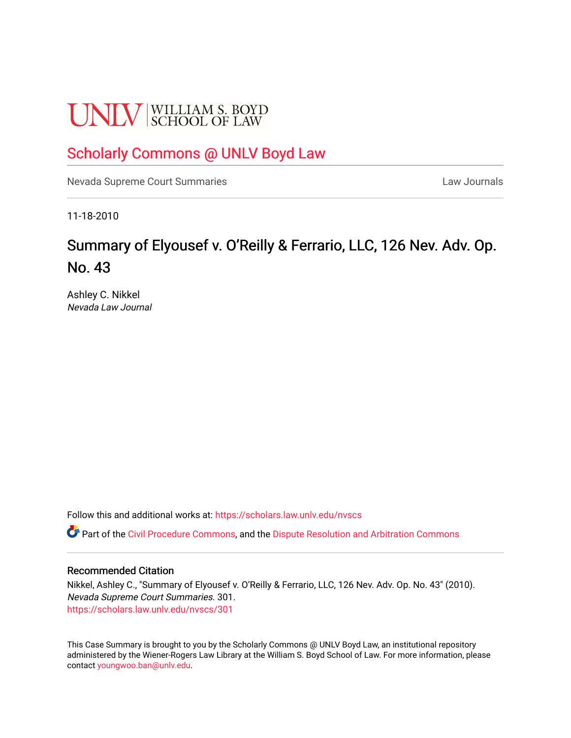# **UNLV** SCHOOL OF LAW

## [Scholarly Commons @ UNLV Boyd Law](https://scholars.law.unlv.edu/)

[Nevada Supreme Court Summaries](https://scholars.law.unlv.edu/nvscs) **Law Journals** Law Journals

11-18-2010

## Summary of Elyousef v. O'Reilly & Ferrario, LLC, 126 Nev. Adv. Op. No. 43

Ashley C. Nikkel Nevada Law Journal

Follow this and additional works at: [https://scholars.law.unlv.edu/nvscs](https://scholars.law.unlv.edu/nvscs?utm_source=scholars.law.unlv.edu%2Fnvscs%2F301&utm_medium=PDF&utm_campaign=PDFCoverPages)

Part of the [Civil Procedure Commons,](http://network.bepress.com/hgg/discipline/584?utm_source=scholars.law.unlv.edu%2Fnvscs%2F301&utm_medium=PDF&utm_campaign=PDFCoverPages) and the Dispute Resolution and Arbitration Commons

#### Recommended Citation

Nikkel, Ashley C., "Summary of Elyousef v. O'Reilly & Ferrario, LLC, 126 Nev. Adv. Op. No. 43" (2010). Nevada Supreme Court Summaries. 301. [https://scholars.law.unlv.edu/nvscs/301](https://scholars.law.unlv.edu/nvscs/301?utm_source=scholars.law.unlv.edu%2Fnvscs%2F301&utm_medium=PDF&utm_campaign=PDFCoverPages)

This Case Summary is brought to you by the Scholarly Commons @ UNLV Boyd Law, an institutional repository administered by the Wiener-Rogers Law Library at the William S. Boyd School of Law. For more information, please contact [youngwoo.ban@unlv.edu](mailto:youngwoo.ban@unlv.edu).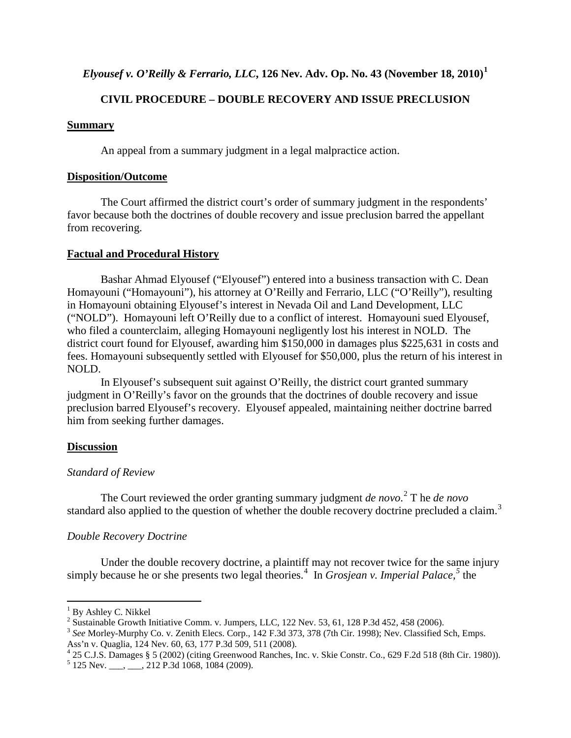### *Elyousef v. O'Reilly & Ferrario, LLC***, 126 Nev. Adv. Op. No. 43 (November 18, 2010)[1](#page-1-0)**

#### **CIVIL PROCEDURE – DOUBLE RECOVERY AND ISSUE PRECLUSION**

#### **Summary**

An appeal from a summary judgment in a legal malpractice action.

#### **Disposition/Outcome**

The Court affirmed the district court's order of summary judgment in the respondents' favor because both the doctrines of double recovery and issue preclusion barred the appellant from recovering.

#### **Factual and Procedural History**

Bashar Ahmad Elyousef ("Elyousef") entered into a business transaction with C. Dean Homayouni ("Homayouni"), his attorney at O'Reilly and Ferrario, LLC ("O'Reilly"), resulting in Homayouni obtaining Elyousef's interest in Nevada Oil and Land Development, LLC ("NOLD"). Homayouni left O'Reilly due to a conflict of interest. Homayouni sued Elyousef, who filed a counterclaim, alleging Homayouni negligently lost his interest in NOLD. The district court found for Elyousef, awarding him \$150,000 in damages plus \$225,631 in costs and fees. Homayouni subsequently settled with Elyousef for \$50,000, plus the return of his interest in NOLD.

In Elyousef's subsequent suit against O'Reilly, the district court granted summary judgment in O'Reilly's favor on the grounds that the doctrines of double recovery and issue preclusion barred Elyousef's recovery. Elyousef appealed, maintaining neither doctrine barred him from seeking further damages.

#### **Discussion**

#### *Standard of Review*

The Court reviewed the order granting summary judgment *de novo*. [2](#page-1-1) T he *de novo* standard also applied to the question of whether the double recovery doctrine precluded a claim.<sup>[3](#page-1-2)</sup>

#### *Double Recovery Doctrine*

Under the double recovery doctrine, a plaintiff may not recover twice for the same injury simply because he or she presents two legal theories.<sup>[4](#page-1-3)</sup> In *Grosjean v. Imperial Palace*,<sup>[5](#page-1-4)</sup> the

<span id="page-1-0"></span> $^{1}$  By Ashley C. Nikkel<br> $^{2}$  Sustainable Growth Initiative Comm. v. Jumpers, LLC, 122 Nev. 53, 61, 128 P.3d 452, 458 (2006).

<span id="page-1-2"></span><span id="page-1-1"></span><sup>&</sup>lt;sup>3</sup> See Morley-Murphy Co. v. Zenith Elecs. Corp., 142 F.3d 373, 378 (7th Cir. 1998); Nev. Classified Sch, Emps.

<span id="page-1-3"></span>Ass'n v. Quaglia, 124 Nev. 60, 63, 177 P.3d 509, 511 (2008).<br>
<sup>4</sup> 25 C.J.S. Damages § 5 (2002) (citing Greenwood Ranches, Inc. v. Skie Constr. Co., 629 F.2d 518 (8th Cir. 1980)).<br>
<sup>5</sup> 125 Nev. \_\_\_, \_\_, 212 P.3d 1068, 1084

<span id="page-1-4"></span>